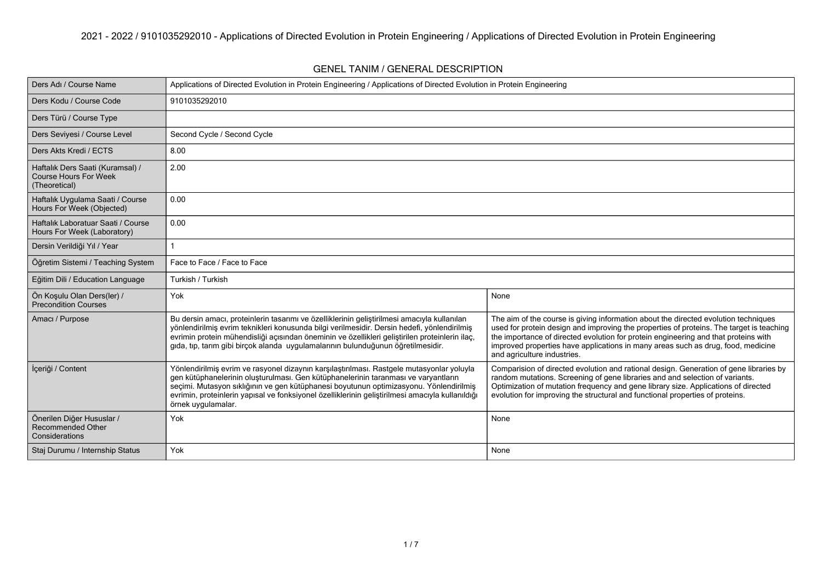| Ders Adı / Course Name                                                            | Applications of Directed Evolution in Protein Engineering / Applications of Directed Evolution in Protein Engineering                                                                                                                                                                                                                                                                               |                                                                                                                                                                                                                                                                                                                                                                                           |  |  |
|-----------------------------------------------------------------------------------|-----------------------------------------------------------------------------------------------------------------------------------------------------------------------------------------------------------------------------------------------------------------------------------------------------------------------------------------------------------------------------------------------------|-------------------------------------------------------------------------------------------------------------------------------------------------------------------------------------------------------------------------------------------------------------------------------------------------------------------------------------------------------------------------------------------|--|--|
| Ders Kodu / Course Code                                                           | 9101035292010                                                                                                                                                                                                                                                                                                                                                                                       |                                                                                                                                                                                                                                                                                                                                                                                           |  |  |
| Ders Türü / Course Type                                                           |                                                                                                                                                                                                                                                                                                                                                                                                     |                                                                                                                                                                                                                                                                                                                                                                                           |  |  |
| Ders Seviyesi / Course Level                                                      | Second Cycle / Second Cycle                                                                                                                                                                                                                                                                                                                                                                         |                                                                                                                                                                                                                                                                                                                                                                                           |  |  |
| Ders Akts Kredi / ECTS                                                            | 8.00                                                                                                                                                                                                                                                                                                                                                                                                |                                                                                                                                                                                                                                                                                                                                                                                           |  |  |
| Haftalık Ders Saati (Kuramsal) /<br><b>Course Hours For Week</b><br>(Theoretical) | 2.00                                                                                                                                                                                                                                                                                                                                                                                                |                                                                                                                                                                                                                                                                                                                                                                                           |  |  |
| Haftalık Uygulama Saati / Course<br>Hours For Week (Objected)                     | 0.00                                                                                                                                                                                                                                                                                                                                                                                                |                                                                                                                                                                                                                                                                                                                                                                                           |  |  |
| Haftalık Laboratuar Saati / Course<br>Hours For Week (Laboratory)                 | 0.00                                                                                                                                                                                                                                                                                                                                                                                                |                                                                                                                                                                                                                                                                                                                                                                                           |  |  |
| Dersin Verildiği Yıl / Year                                                       |                                                                                                                                                                                                                                                                                                                                                                                                     |                                                                                                                                                                                                                                                                                                                                                                                           |  |  |
| Öğretim Sistemi / Teaching System                                                 | Face to Face / Face to Face                                                                                                                                                                                                                                                                                                                                                                         |                                                                                                                                                                                                                                                                                                                                                                                           |  |  |
| Eğitim Dili / Education Language                                                  | Turkish / Turkish                                                                                                                                                                                                                                                                                                                                                                                   |                                                                                                                                                                                                                                                                                                                                                                                           |  |  |
| Ön Koşulu Olan Ders(ler) /<br><b>Precondition Courses</b>                         | Yok<br>None                                                                                                                                                                                                                                                                                                                                                                                         |                                                                                                                                                                                                                                                                                                                                                                                           |  |  |
| Amacı / Purpose                                                                   | Bu dersin amacı, proteinlerin tasarımı ve özelliklerinin geliştirilmesi amacıyla kullanılan<br>yönlendirilmiş evrim teknikleri konusunda bilgi verilmesidir. Dersin hedefi, yönlendirilmiş<br>evrimin protein mühendisliği açısından öneminin ve özellikleri geliştirilen proteinlerin ilaç,<br>gıda, tıp, tarım gibi bircok alanda uygulamalarının bulunduğunun öğretilmesidir.                    | The aim of the course is giving information about the directed evolution techniques<br>used for protein design and improving the properties of proteins. The target is teaching<br>the importance of directed evolution for protein engineering and that proteins with<br>improved properties have applications in many areas such as drug, food, medicine<br>and agriculture industries. |  |  |
| İçeriği / Content                                                                 | Yönlendirilmiş evrim ve rasyonel dizaynın karşılaştırılması. Rastgele mutasyonlar yoluyla<br>gen kütüphanelerinin oluşturulması. Gen kütüphanelerinin taranması ve varyantların<br>seçimi. Mutasyon sıklığının ve gen kütüphanesi boyutunun optimizasyonu. Yönlendirilmiş<br>evrimin, proteinlerin yapısal ve fonksiyonel özelliklerinin geliştirilmesi amacıyla kullanıldığı<br>örnek uygulamalar. | Comparision of directed evolution and rational design. Generation of gene libraries by<br>random mutations. Screening of gene libraries and and selection of variants.<br>Optimization of mutation frequency and gene library size. Applications of directed<br>evolution for improving the structural and functional properties of proteins.                                             |  |  |
| Önerilen Diğer Hususlar /<br><b>Recommended Other</b><br>Considerations           | Yok                                                                                                                                                                                                                                                                                                                                                                                                 | None                                                                                                                                                                                                                                                                                                                                                                                      |  |  |
| Staj Durumu / Internship Status                                                   | Yok                                                                                                                                                                                                                                                                                                                                                                                                 | None                                                                                                                                                                                                                                                                                                                                                                                      |  |  |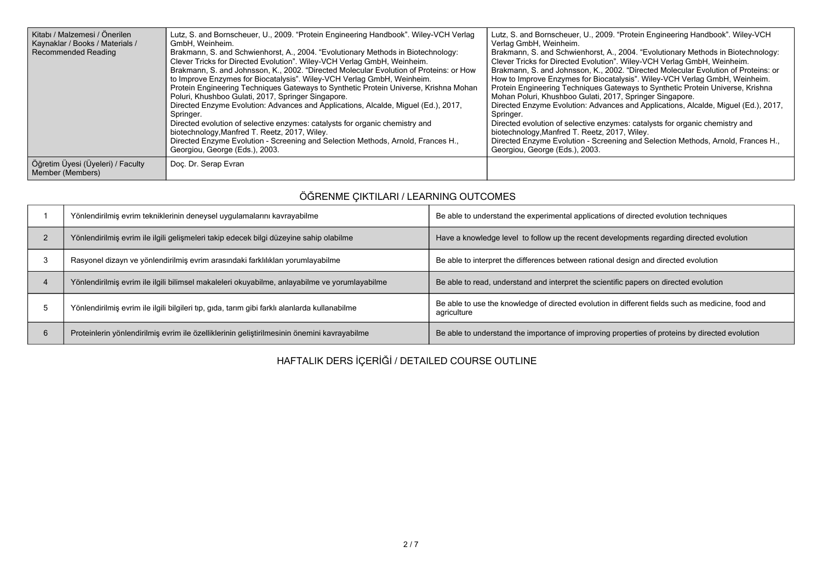| Kitabı / Malzemesi / Önerilen<br>Kaynaklar / Books / Materials /<br><b>Recommended Reading</b> | Lutz, S. and Bornscheuer, U., 2009. "Protein Engineering Handbook". Wiley-VCH Verlag<br>GmbH. Weinheim.<br>Brakmann, S. and Schwienhorst, A., 2004. "Evolutionary Methods in Biotechnology:<br>Clever Tricks for Directed Evolution". Wiley-VCH Verlag GmbH, Weinheim.<br>Brakmann, S. and Johnsson, K., 2002. "Directed Molecular Evolution of Proteins: or How<br>to Improve Enzymes for Biocatalysis". Wiley-VCH Verlag GmbH, Weinheim.<br>Protein Engineering Techniques Gateways to Synthetic Protein Universe, Krishna Mohan<br>Poluri, Khushboo Gulati, 2017, Springer Singapore.<br>Directed Enzyme Evolution: Advances and Applications, Alcalde, Miquel (Ed.), 2017,<br>Springer.<br>Directed evolution of selective enzymes: catalysts for organic chemistry and<br>biotechnology, Manfred T. Reetz, 2017, Wiley.<br>Directed Enzyme Evolution - Screening and Selection Methods, Arnold, Frances H.,<br>Georgiou, George (Eds.), 2003. | Lutz, S. and Bornscheuer, U., 2009. "Protein Engineering Handbook". Wiley-VCH<br>Verlag GmbH, Weinheim.<br>Brakmann, S. and Schwienhorst, A., 2004. "Evolutionary Methods in Biotechnology:<br>Clever Tricks for Directed Evolution". Wiley-VCH Verlag GmbH, Weinheim.<br>Brakmann, S. and Johnsson, K., 2002. "Directed Molecular Evolution of Proteins: or<br>How to Improve Enzymes for Biocatalysis". Wiley-VCH Verlag GmbH, Weinheim.<br>Protein Engineering Techniques Gateways to Synthetic Protein Universe, Krishna<br>Mohan Poluri, Khushboo Gulati, 2017, Springer Singapore.<br>Directed Enzyme Evolution: Advances and Applications, Alcalde, Miguel (Ed.), 2017,<br>Springer.<br>Directed evolution of selective enzymes: catalysts for organic chemistry and<br>biotechnology, Manfred T. Reetz, 2017, Wiley.<br>Directed Enzyme Evolution - Screening and Selection Methods, Arnold, Frances H.,<br>Georgiou, George (Eds.), 2003. |
|------------------------------------------------------------------------------------------------|----------------------------------------------------------------------------------------------------------------------------------------------------------------------------------------------------------------------------------------------------------------------------------------------------------------------------------------------------------------------------------------------------------------------------------------------------------------------------------------------------------------------------------------------------------------------------------------------------------------------------------------------------------------------------------------------------------------------------------------------------------------------------------------------------------------------------------------------------------------------------------------------------------------------------------------------------|----------------------------------------------------------------------------------------------------------------------------------------------------------------------------------------------------------------------------------------------------------------------------------------------------------------------------------------------------------------------------------------------------------------------------------------------------------------------------------------------------------------------------------------------------------------------------------------------------------------------------------------------------------------------------------------------------------------------------------------------------------------------------------------------------------------------------------------------------------------------------------------------------------------------------------------------------|
| Öğretim Üyesi (Üyeleri) / Faculty<br>Member (Members)                                          | Doc. Dr. Serap Evran                                                                                                                                                                                                                                                                                                                                                                                                                                                                                                                                                                                                                                                                                                                                                                                                                                                                                                                               |                                                                                                                                                                                                                                                                                                                                                                                                                                                                                                                                                                                                                                                                                                                                                                                                                                                                                                                                                    |

## **ÖĞRENME ÇIKTILARI / LEARNING OUTCOMES**

|   | Yönlendirilmiş evrim tekniklerinin deneysel uygulamalarını kavrayabilme                       | Be able to understand the experimental applications of directed evolution techniques                             |
|---|-----------------------------------------------------------------------------------------------|------------------------------------------------------------------------------------------------------------------|
|   | Yönlendirilmiş evrim ile ilgili gelişmeleri takip edecek bilgi düzeyine sahip olabilme        | Have a knowledge level to follow up the recent developments regarding directed evolution                         |
|   | Rasyonel dizayn ve yönlendirilmiş evrim arasındaki farklılıkları yorumlayabilme               | Be able to interpret the differences between rational design and directed evolution                              |
|   | Yönlendirilmiş evrim ile ilgili bilimsel makaleleri okuyabilme, anlayabilme ve yorumlayabilme | Be able to read, understand and interpret the scientific papers on directed evolution                            |
|   | Yönlendirilmiş evrim ile ilgili bilgileri tıp, gıda, tarım gibi farklı alanlarda kullanabilme | Be able to use the knowledge of directed evolution in different fields such as medicine, food and<br>agriculture |
| 6 | Proteinlerin yönlendirilmiş evrim ile özelliklerinin geliştirilmesinin önemini kavrayabilme   | Be able to understand the importance of improving properties of proteins by directed evolution                   |

## **HAFTALIK DERS İÇERİĞİ / DETAILED COURSE OUTLINE**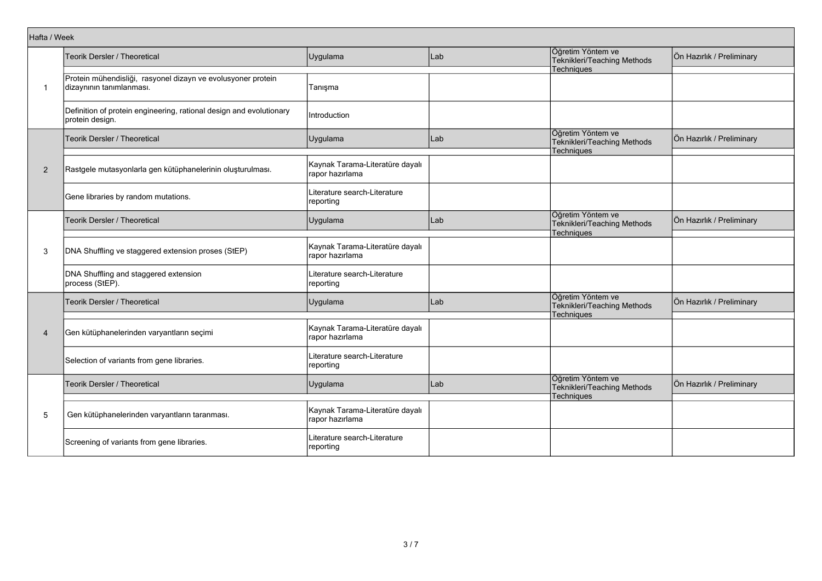| Hafta / Week   |                                                                                          |                                                    |     |                                                                       |                           |
|----------------|------------------------------------------------------------------------------------------|----------------------------------------------------|-----|-----------------------------------------------------------------------|---------------------------|
| $\mathbf{1}$   | Teorik Dersler / Theoretical                                                             | Uygulama                                           | Lab | Öğretim Yöntem ve<br>Teknikleri/Teaching Methods<br><b>Techniques</b> | Ön Hazırlık / Preliminary |
|                | Protein mühendisliği, rasyonel dizayn ve evolusyoner protein<br>dizaynının tanımlanması. | Tanışma                                            |     |                                                                       |                           |
|                | Definition of protein engineering, rational design and evolutionary<br>protein design.   | Introduction                                       |     |                                                                       |                           |
|                | Teorik Dersler / Theoretical                                                             | Uygulama                                           | Lab | Öğretim Yöntem ve<br>Teknikleri/Teaching Methods<br><b>Techniques</b> | Ön Hazırlık / Preliminary |
| $\overline{2}$ | Rastgele mutasyonlarla gen kütüphanelerinin oluşturulması.                               | Kaynak Tarama-Literatüre dayalı<br>rapor hazırlama |     |                                                                       |                           |
|                | Gene libraries by random mutations.                                                      | Literature search-Literature<br>reporting          |     |                                                                       |                           |
|                | Teorik Dersler / Theoretical                                                             | Uygulama                                           | Lab | Öğretim Yöntem ve<br>Teknikleri/Teaching Methods<br>Techniques        | Ön Hazırlık / Preliminary |
| 3              | DNA Shuffling ve staggered extension proses (StEP)                                       | Kaynak Tarama-Literatüre dayalı<br>rapor hazırlama |     |                                                                       |                           |
|                | DNA Shuffling and staggered extension<br>process (StEP).                                 | Literature search-Literature<br>reporting          |     |                                                                       |                           |
| $\overline{4}$ | <b>Teorik Dersler / Theoretical</b>                                                      | Uygulama                                           | Lab | Öğretim Yöntem ve<br>Teknikleri/Teaching Methods<br><b>Techniques</b> | Ön Hazırlık / Preliminary |
|                | Gen kütüphanelerinden varyantların seçimi                                                | Kaynak Tarama-Literatüre dayalı<br>rapor hazırlama |     |                                                                       |                           |
|                | Selection of variants from gene libraries.                                               | Literature search-Literature<br>reporting          |     |                                                                       |                           |
| 5              | Teorik Dersler / Theoretical                                                             | Uygulama                                           | Lab | Öğretim Yöntem ve<br>Teknikleri/Teaching Methods<br>Techniques        | Ön Hazırlık / Preliminary |
|                | Gen kütüphanelerinden varyantların taranması.                                            | Kaynak Tarama-Literatüre dayalı<br>rapor hazırlama |     |                                                                       |                           |
|                | Screening of variants from gene libraries.                                               | Literature search-Literature<br>reporting          |     |                                                                       |                           |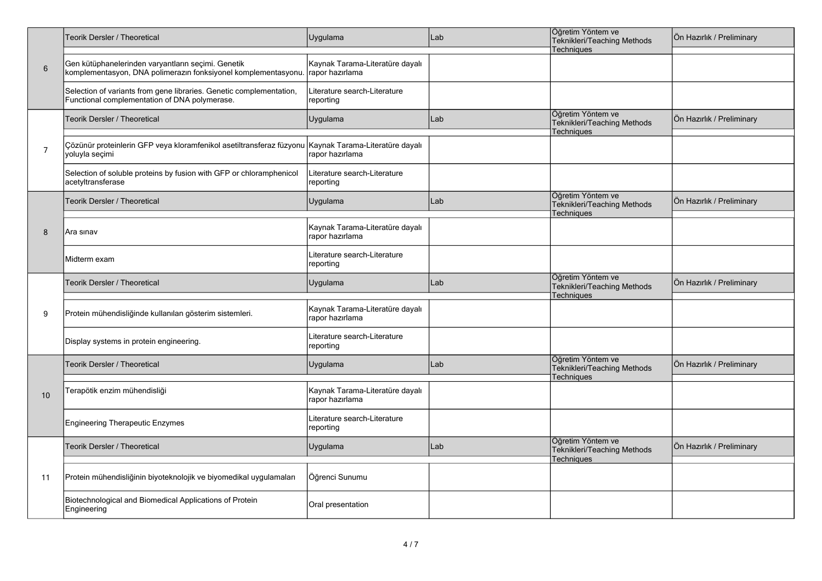|                | <b>Feorik Dersler / Theoretical</b>                                                                                                   | Uygulama                                           | Lab | Öğretim Yöntem ve<br>Teknikleri/Teaching Methods<br>Techniques        | Ön Hazırlık / Preliminary |
|----------------|---------------------------------------------------------------------------------------------------------------------------------------|----------------------------------------------------|-----|-----------------------------------------------------------------------|---------------------------|
| 6              | Gen kütüphanelerinden varyantların seçimi. Genetik<br>komplementasyon, DNA polimerazın fonksiyonel komplementasyonu. Trapor hazırlama | Kaynak Tarama-Literatüre dayalı                    |     |                                                                       |                           |
|                | Selection of variants from gene libraries. Genetic complementation,<br>Functional complementation of DNA polymerase.                  | Literature search-Literature<br>reporting          |     |                                                                       |                           |
|                | Teorik Dersler / Theoretical                                                                                                          | Uygulama                                           | Lab | Öğretim Yöntem ve<br>Teknikleri/Teaching Methods<br><b>Techniques</b> | Ön Hazırlık / Preliminary |
| $\overline{7}$ | Çözünür proteinlerin GFP veya kloramfenikol asetiltransferaz füzyonu Kaynak Tarama-Literatüre dayalı<br>yoluyla seçimi                | rapor hazırlama                                    |     |                                                                       |                           |
|                | Selection of soluble proteins by fusion with GFP or chloramphenicol<br>acetyltransferase                                              | Literature search-Literature<br>reporting          |     |                                                                       |                           |
|                | Teorik Dersler / Theoretical                                                                                                          | Uygulama                                           | Lab | Öğretim Yöntem ve<br>Teknikleri/Teaching Methods<br><b>Techniques</b> | Ön Hazırlık / Preliminary |
| 8              | Ara sınav                                                                                                                             | Kaynak Tarama-Literatüre dayalı<br>rapor hazırlama |     |                                                                       |                           |
|                | Midterm exam                                                                                                                          | iterature search-Literature<br>reporting           |     |                                                                       |                           |
| 9              | Teorik Dersler / Theoretical                                                                                                          | Uygulama                                           | Lab | Öğretim Yöntem ve<br>Teknikleri/Teaching Methods<br><b>Techniques</b> | Ön Hazırlık / Preliminary |
|                | Protein mühendisliğinde kullanılan gösterim sistemleri.                                                                               | Kaynak Tarama-Literatüre dayalı<br>rapor hazırlama |     |                                                                       |                           |
|                | Display systems in protein engineering.                                                                                               | Literature search-Literature<br>reporting          |     |                                                                       |                           |
|                | <b>Feorik Dersler / Theoretical</b>                                                                                                   | Uygulama                                           | Lab | Öğretim Yöntem ve<br>Teknikleri/Teaching Methods<br>Techniques        | Ön Hazırlık / Preliminary |
| 10             | Terapötik enzim mühendisliği                                                                                                          | Kaynak Tarama-Literatüre dayalı<br>rapor hazırlama |     |                                                                       |                           |
|                | <b>Engineering Therapeutic Enzymes</b>                                                                                                | Literature search-Literature<br>reporting          |     |                                                                       |                           |
| 11             | <b>Teorik Dersler / Theoretical</b>                                                                                                   | Uygulama                                           | Lab | Öğretim Yöntem ve<br>Teknikleri/Teaching Methods<br>Techniques        | Ön Hazırlık / Preliminary |
|                | Protein mühendisliğinin biyoteknolojik ve biyomedikal uygulamaları                                                                    | Öğrenci Sunumu                                     |     |                                                                       |                           |
|                | Biotechnological and Biomedical Applications of Protein<br>Engineering                                                                | Oral presentation                                  |     |                                                                       |                           |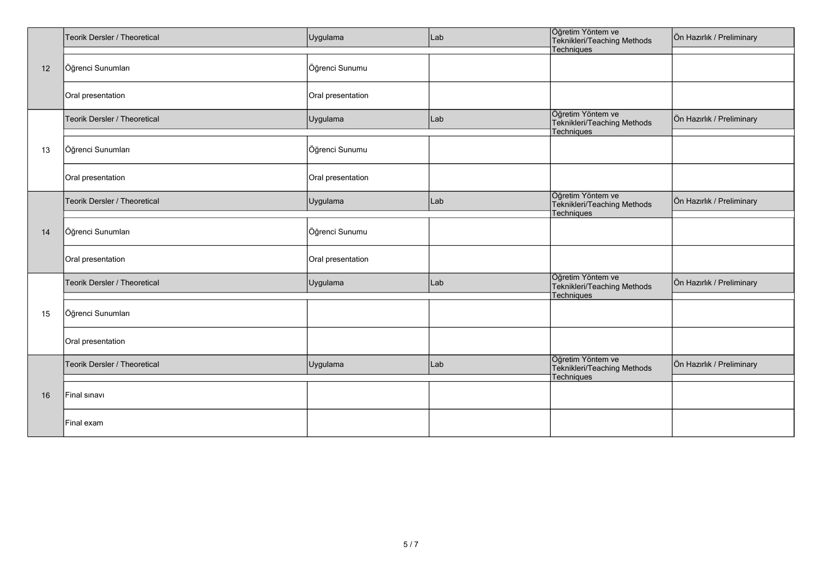| 12 | Teorik Dersler / Theoretical | Uygulama          | Lab | Öğretim Yöntem ve<br>Teknikleri/Teaching Methods                      | Ön Hazırlık / Preliminary |
|----|------------------------------|-------------------|-----|-----------------------------------------------------------------------|---------------------------|
|    |                              |                   |     | Techniques                                                            |                           |
|    | Öğrenci Sunumları            | Öğrenci Sunumu    |     |                                                                       |                           |
|    | Oral presentation            | Oral presentation |     |                                                                       |                           |
|    | Teorik Dersler / Theoretical | Uygulama          | Lab | Öğretim Yöntem ve<br>Teknikleri/Teaching Methods<br>Techniques        | Ön Hazırlık / Preliminary |
| 13 | Öğrenci Sunumları            | Öğrenci Sunumu    |     |                                                                       |                           |
|    | Oral presentation            | Oral presentation |     |                                                                       |                           |
|    | Teorik Dersler / Theoretical | Uygulama          | Lab | Öğretim Yöntem ve<br>Teknikleri/Teaching Methods<br>Techniques        | Ön Hazırlık / Preliminary |
| 14 | Öğrenci Sunumları            | Öğrenci Sunumu    |     |                                                                       |                           |
|    | Oral presentation            | Oral presentation |     |                                                                       |                           |
| 15 | Teorik Dersler / Theoretical | Uygulama          | Lab | Öğretim Yöntem ve<br>Teknikleri/Teaching Methods<br><b>Techniques</b> | Ön Hazırlık / Preliminary |
|    | Öğrenci Sunumları            |                   |     |                                                                       |                           |
|    | Oral presentation            |                   |     |                                                                       |                           |
| 16 | Teorik Dersler / Theoretical | Uygulama          | Lab | Öğretim Yöntem ve<br>Teknikleri/Teaching Methods<br>Techniques        | Ön Hazırlık / Preliminary |
|    | Final sinavi                 |                   |     |                                                                       |                           |
|    | Final exam                   |                   |     |                                                                       |                           |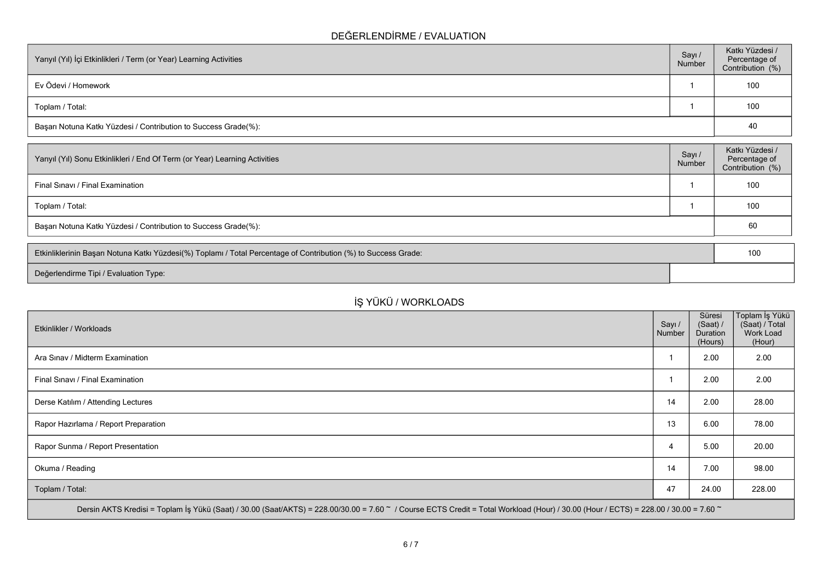## **DEĞERLENDİRME / EVALUATION**

| Yarıyıl (Yıl) İçi Etkinlikleri / Term (or Year) Learning Activities |  | Katkı Yüzdesi /<br>Percentage of<br>Contribution (%) |
|---------------------------------------------------------------------|--|------------------------------------------------------|
| Ev Ödevi / Homework                                                 |  | 100                                                  |
| Toplam / Total:                                                     |  | 100                                                  |
| Başarı Notuna Katkı Yüzdesi / Contribution to Success Grade(%):     |  | 40                                                   |

| Yarıyıl (Yıl) Sonu Etkinlikleri / End Of Term (or Year) Learning Activities |  | Katkı Yüzdesi /<br>Percentage of<br>Contribution (%) |
|-----------------------------------------------------------------------------|--|------------------------------------------------------|
| Final Sinavi / Final Examination                                            |  | 100                                                  |
| Toplam / Total:                                                             |  | 100                                                  |
| Başarı Notuna Katkı Yüzdesi / Contribution to Success Grade(%):             |  | 60                                                   |

| Etkinliklerinin Başarı Notuna Katkı Yüzdesi(%) Toplamı / Total Percentage of Contribution (%) to Success Grade: |  |
|-----------------------------------------------------------------------------------------------------------------|--|
| Değerlendirme Tipi / Evaluation Type:                                                                           |  |

## **İŞ YÜKÜ / WORKLOADS**

| Etkinlikler / Workloads                                                                                                                                                              | Sayı /<br>Number | Süresi<br>(Saat) /<br><b>Duration</b><br>(Hours) | Toplam İş Yükü<br>(Saat) / Total<br>Work Load<br>(Hour) |
|--------------------------------------------------------------------------------------------------------------------------------------------------------------------------------------|------------------|--------------------------------------------------|---------------------------------------------------------|
| Ara Sinav / Midterm Examination                                                                                                                                                      |                  | 2.00                                             | 2.00                                                    |
| Final Sinavi / Final Examination                                                                                                                                                     |                  | 2.00                                             | 2.00                                                    |
| Derse Katılım / Attending Lectures                                                                                                                                                   | 14               | 2.00                                             | 28.00                                                   |
| Rapor Hazırlama / Report Preparation                                                                                                                                                 | 13               | 6.00                                             | 78.00                                                   |
| Rapor Sunma / Report Presentation                                                                                                                                                    | 4                | 5.00                                             | 20.00                                                   |
| Okuma / Reading                                                                                                                                                                      | 14               | 7.00                                             | 98.00                                                   |
| Toplam / Total:                                                                                                                                                                      | 47               | 24.00                                            | 228.00                                                  |
| Dersin AKTS Kredisi = Toplam İş Yükü (Saat) / 30.00 (Saat/AKTS) = 228.00/30.00 = 7.60 ~ / Course ECTS Credit = Total Workload (Hour) / 30.00 (Hour / ECTS) = 228.00 / 30.00 = 7.60 ~ |                  |                                                  |                                                         |